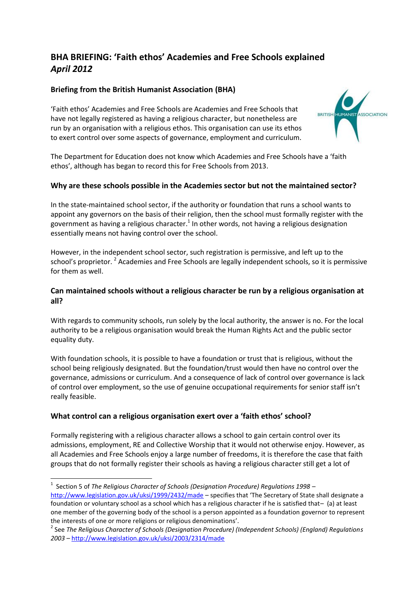# **BHA BRIEFING: 'Faith ethos' Academies and Free Schools explained** *April 2012*

## **Briefing from the British Humanist Association (BHA)**

'Faith ethos' Academies and Free Schools are Academies and Free Schools that have not legally registered as having a religious character, but nonetheless are run by an organisation with a religious ethos. This organisation can use its ethos to exert control over some aspects of governance, employment and curriculum.



The Department for Education does not know which Academies and Free Schools have a 'faith ethos', although has began to record this for Free Schools from 2013.

## **Why are these schools possible in the Academies sector but not the maintained sector?**

In the state-maintained school sector, if the authority or foundation that runs a school wants to appoint any governors on the basis of their religion, then the school must formally register with the government as having a religious character.<sup>1</sup> In other words, not having a religious designation essentially means not having control over the school.

However, in the independent school sector, such registration is permissive, and left up to the school's proprietor. <sup>2</sup> Academies and Free Schools are legally independent schools, so it is permissive for them as well.

## **Can maintained schools without a religious character be run by a religious organisation at all?**

With regards to community schools, run solely by the local authority, the answer is no. For the local authority to be a religious organisation would break the Human Rights Act and the public sector equality duty.

With foundation schools, it is possible to have a foundation or trust that is religious, without the school being religiously designated. But the foundation/trust would then have no control over the governance, admissions or curriculum. And a consequence of lack of control over governance is lack of control over employment, so the use of genuine occupational requirements for senior staff isn't really feasible.

## **What control can a religious organisation exert over a 'faith ethos' school?**

Formally registering with a religious character allows a school to gain certain control over its admissions, employment, RE and Collective Worship that it would not otherwise enjoy. However, as all Academies and Free Schools enjoy a large number of freedoms, it is therefore the case that faith groups that do not formally register their schools as having a religious character still get a lot of

 1 Section 5 of *The Religious Character of Schools (Designation Procedure) Regulations 1998 –* <http://www.legislation.gov.uk/uksi/1999/2432/made> - specifies that 'The Secretary of State shall designate a foundation or voluntary school as a school which has a religious character if he is satisfied that– (a) at least one member of the governing body of the school is a person appointed as a foundation governor to represent the interests of one or more religions or religious denominations'.

<sup>2</sup> See *The Religious Character of Schools (Designation Procedure) (Independent Schools) (England) Regulations 2003 –* <http://www.legislation.gov.uk/uksi/2003/2314/made>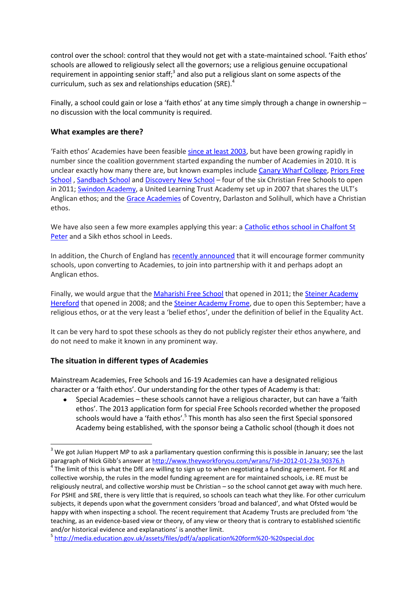control over the school: control that they would not get with a state-maintained school. 'Faith ethos' schools are allowed to religiously select all the governors; use a religious genuine occupational requirement in appointing senior staff;<sup>3</sup> and also put a religious slant on some aspects of the curriculum, such as sex and relationships education (SRE).<sup>4</sup>

Finally, a school could gain or lose a 'faith ethos' at any time simply through a change in ownership – no discussion with the local community is required.

## **What examples are there?**

'Faith ethos' Academies have been feasible [since at least 2003,](http://www.legislation.gov.uk/uksi/2003/2314/contents/made) but have been growing rapidly in number since the coalition government started expanding the number of Academies in 2010. It is unclear exactly how many there are, but known examples includ[e Canary Wharf College,](http://www.canarywharfcollege.co.uk/Site/My_Albums/My_Albums.html) [Priors Free](http://learn4all.co.uk/priorsschool/course/view.php?id=2)  [School](http://learn4all.co.uk/priorsschool/course/view.php?id=2) , [Sandbach School](http://sandbachschool.org/) an[d Discovery New School](http://www.discoverynewschool.org/) – four of the six Christian Free Schools to open in 2011[; Swindon Academy](http://www.swindon-academy.org/), a United Learning Trust Academy set up in 2007 that shares the ULT's Anglican ethos; and the [Grace Academies](http://www.graceacademy.org.uk/) of Coventry, Darlaston and Solihull, which have a Christian ethos.

We have also seen a few more examples applying this year: a Catholic ethos school in Chalfont St [Peter](http://www.freeschoolgerrardscross.org/) and a Sikh ethos school in Leeds.

In addition, the Church of England ha[s recently announced](http://www.humanism.org.uk/news/view/957) that it will encourage former community schools, upon converting to Academies, to join into partnership with it and perhaps adopt an Anglican ethos.

Finally, we would argue that the [Maharishi Free School](http://www.maharishischool.com/) that opened in 2011; th[e Steiner Academy](http://www.steineracademyhereford.eu/)  [Hereford](http://www.steineracademyhereford.eu/) that opened in 2008; and th[e Steiner Academy Frome,](http://www.steineracademyfrome.co.uk/) due to open this September; have a religious ethos, or at the very least a 'belief ethos', under the definition of belief in the Equality Act.

It can be very hard to spot these schools as they do not publicly register their ethos anywhere, and do not need to make it known in any prominent way.

## **The situation in different types of Academies**

**.** 

Mainstream Academies, Free Schools and 16-19 Academies can have a designated religious character or a 'faith ethos'. Our understanding for the other types of Academy is that:

Special Academies – these schools cannot have a religious character, but can have a 'faith  $\bullet$ ethos'. The 2013 application form for special Free Schools recorded whether the proposed schools would have a 'faith ethos'.<sup>5</sup> This month has also seen the first Special sponsored Academy being established, with the sponsor being a Catholic school (though it does not

 $3$  We got Julian Huppert MP to ask a parliamentary question confirming this is possible in January; see the last paragraph of Nick Gibb's answer at <http://www.theyworkforyou.com/wrans/?id=2012-01-23a.90376.h>

<sup>4</sup> The limit of this is what the DfE are willing to sign up to when negotiating a funding agreement. For RE and collective worship, the rules in the model funding agreement are for maintained schools, i.e. RE must be religiously neutral, and collective worship must be Christian – so the school cannot get away with much here. For PSHE and SRE, there is very little that is required, so schools can teach what they like. For other curriculum subjects, it depends upon what the government considers 'broad and balanced', and what Ofsted would be happy with when inspecting a school. The recent requirement that Academy Trusts are precluded from 'the teaching, as an evidence-based view or theory, of any view or theory that is contrary to established scientific and/or historical evidence and explanations' is another limit.

<sup>&</sup>lt;sup>5</sup> <http://media.education.gov.uk/assets/files/pdf/a/application%20form%20-%20special.doc>